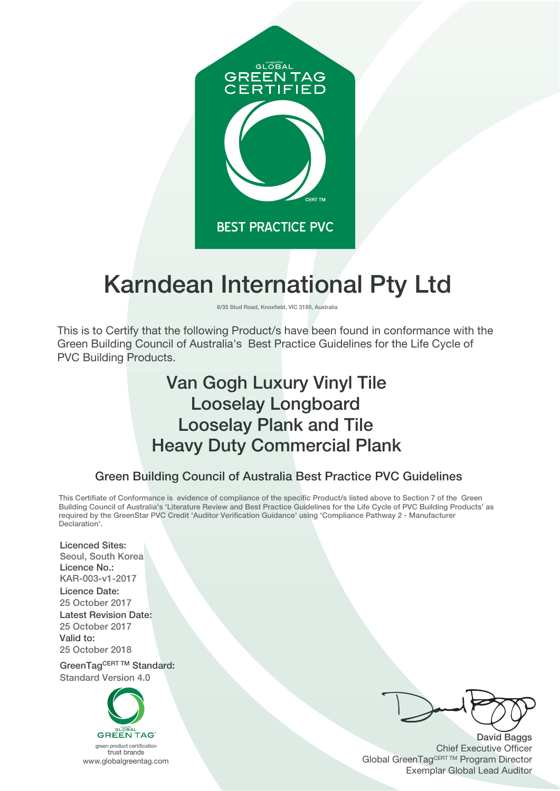

# **Karndean International Pty Ltd**

**8/35 Stud Road, Knoxfield, VIC 3180, Australia**

This is to Certify that the following Product/s have been found in conformance with the Green Building Council of Australia's Best Practice Guidelines for the Life Cycle of PVC Building Products.

# **Van Gogh Luxury Vinyl Tile Looselay Longboard Loosel**a**y Plank and Tile Heavy Duty Commercial Plank**

### **Green Building Council of Australia Best Practice PVC Guidelines**

This Certifiate of Conformance is evidence of compliance of the specific Product/s listed above to Section 7 of the Green Building Council of Australia's 'Literature Review and Best Practice Guidelines for the Life Cycle of PVC Building Products' as **required by the GreenStar PVC Credit 'Auditor Verification Guidance' using 'Compliance Pathway 2 - Manufacturer Declaration'.**

**Licenced Sites: Seoul, South Korea Licence No.: KAR-003-v1-2017 Licence Date: 2**5 **October 2017 Latest Revision Date: 2**5 **October 2017 Valid to: 2**5 **October 2018**

**GreenTagCERT TM Standard: Standard Version 4.0**



**David Baggs** Chief Executive Officer Global GreenTagCERT ™ Program Director Exemplar Global Lead Auditor